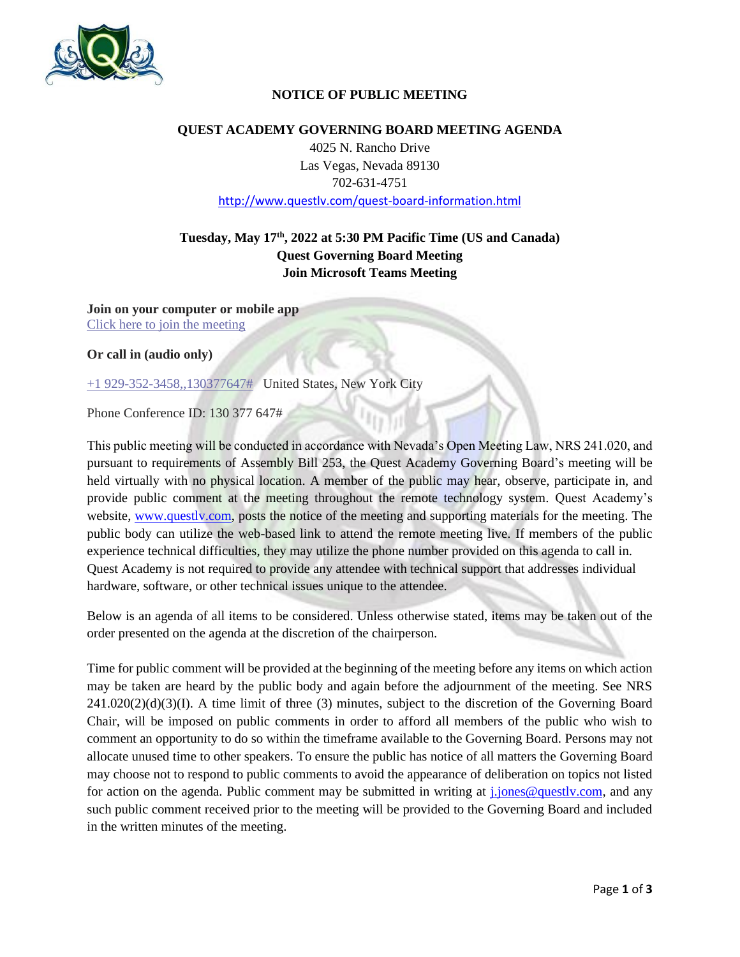

### **NOTICE OF PUBLIC MEETING**

#### **QUEST ACADEMY GOVERNING BOARD MEETING AGENDA**

4025 N. Rancho Drive Las Vegas, Nevada 89130 702-631-4751 http://www.questlv.com/quest-board-information.html

# **Tuesday, May 17th , 2022 at 5:30 PM Pacific Time (US and Canada) Quest Governing Board Meeting Join Microsoft Teams Meeting**

**Join on your computer or mobile app** Click here to join the meeting

**Or call in (audio only)**

+1 929-352-3458,,130377647# United States, New York City

Phone Conference ID: 130 377 647#

This public meeting will be conducted in accordance with Nevada's Open Meeting Law, NRS 241.020, and pursuant to requirements of Assembly Bill 253, the Quest Academy Governing Board's meeting will be held virtually with no physical location. A member of the public may hear, observe, participate in, and provide public comment at the meeting throughout the remote technology system. Quest Academy's website, www.questly.com, posts the notice of the meeting and supporting materials for the meeting. The public body can utilize the web-based link to attend the remote meeting live. If members of the public experience technical difficulties, they may utilize the phone number provided on this agenda to call in. Quest Academy is not required to provide any attendee with technical support that addresses individual hardware, software, or other technical issues unique to the attendee.

Below is an agenda of all items to be considered. Unless otherwise stated, items may be taken out of the order presented on the agenda at the discretion of the chairperson.

Time for public comment will be provided at the beginning of the meeting before any items on which action may be taken are heard by the public body and again before the adjournment of the meeting. See NRS  $241.020(2)(d)(3)(I)$ . A time limit of three (3) minutes, subject to the discretion of the Governing Board Chair, will be imposed on public comments in order to afford all members of the public who wish to comment an opportunity to do so within the timeframe available to the Governing Board. Persons may not allocate unused time to other speakers. To ensure the public has notice of all matters the Governing Board may choose not to respond to public comments to avoid the appearance of deliberation on topics not listed for action on the agenda. Public comment may be submitted in writing at j.jones@questlv.com, and any such public comment received prior to the meeting will be provided to the Governing Board and included in the written minutes of the meeting.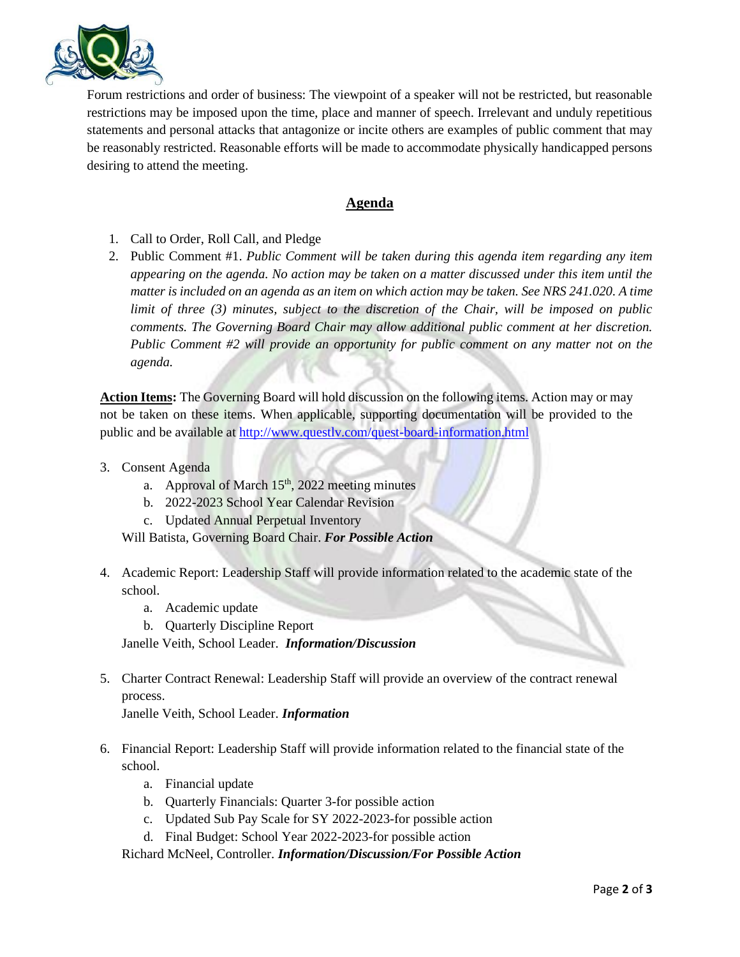

Forum restrictions and order of business: The viewpoint of a speaker will not be restricted, but reasonable restrictions may be imposed upon the time, place and manner of speech. Irrelevant and unduly repetitious statements and personal attacks that antagonize or incite others are examples of public comment that may be reasonably restricted. Reasonable efforts will be made to accommodate physically handicapped persons desiring to attend the meeting.

## **Agenda**

- 1. Call to Order, Roll Call, and Pledge
- 2. Public Comment #1. *Public Comment will be taken during this agenda item regarding any item appearing on the agenda. No action may be taken on a matter discussed under this item until the matter is included on an agenda as an item on which action may be taken. See NRS 241.020. A time limit of three (3) minutes, subject to the discretion of the Chair, will be imposed on public comments. The Governing Board Chair may allow additional public comment at her discretion. Public Comment #2 will provide an opportunity for public comment on any matter not on the agenda.*

**Action Items:** The Governing Board will hold discussion on the following items. Action may or may not be taken on these items. When applicable, supporting documentation will be provided to the public and be available at<http://www.questlv.com/quest-board-information.html>

- 3. Consent Agenda
	- a. Approval of March  $15<sup>th</sup>$ , 2022 meeting minutes
	- b. 2022-2023 School Year Calendar Revision
	- c. Updated Annual Perpetual Inventory

Will Batista, Governing Board Chair. *For Possible Action*

- 4. Academic Report: Leadership Staff will provide information related to the academic state of the school.
	- a. Academic update
	- b. Quarterly Discipline Report

Janelle Veith, School Leader. *Information/Discussion*

5. Charter Contract Renewal: Leadership Staff will provide an overview of the contract renewal process.

Janelle Veith, School Leader. *Information*

- 6. Financial Report: Leadership Staff will provide information related to the financial state of the school.
	- a. Financial update
	- b. Quarterly Financials: Quarter 3-for possible action
	- c. Updated Sub Pay Scale for SY 2022-2023-for possible action
	- d. Final Budget: School Year 2022-2023-for possible action

Richard McNeel, Controller. *Information/Discussion/For Possible Action*